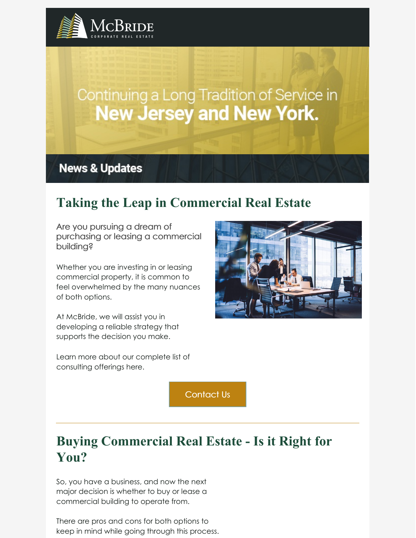

## Continuing a Long Tradition of Service in **New Jersey and New York.**

**News & Updates** 

## **Taking the Leap in Commercial Real Estate**

Are you pursuing a dream of purchasing or leasing a commercial building?

Whether you are investing in or leasing commercial property, it is common to feel overwhelmed by the many nuances of both options.

At McBride, we will assist you in developing a reliable strategy that supports the decision you make.



Learn more about our complete list of consulting offerings here.

[Contact](https://www.mcbridecorpre.com/consulting-mcbride-corporate-real-estate/) Us

## **Buying Commercial Real Estate - Is it Right for You?**

So, you have a business, and now the next major decision is whether to buy or lease a commercial building to operate from.

There are pros and cons for both options to keep in mind while going through this process.